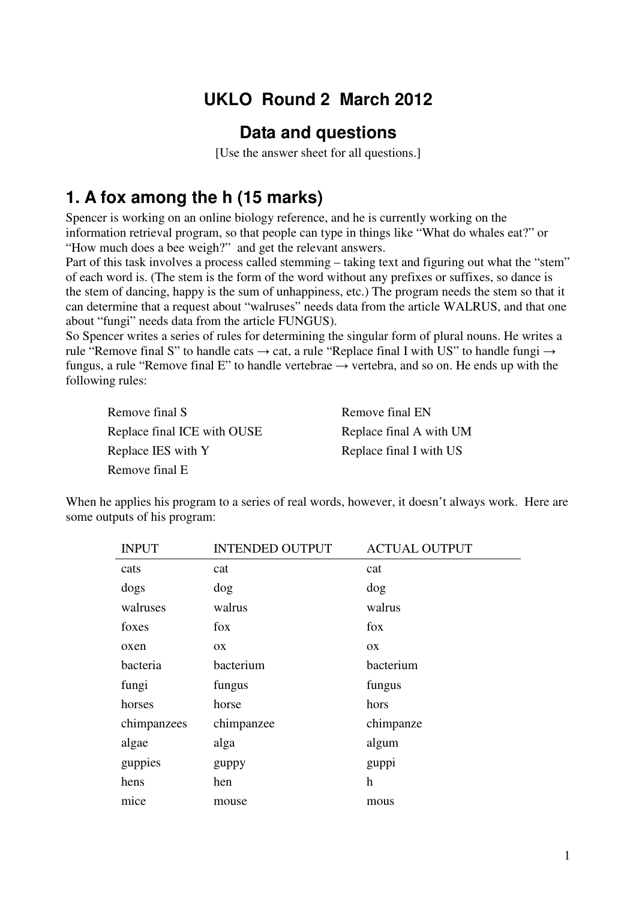# **UKLO Round 2 March 2012**

#### **Data and questions**

[Use the answer sheet for all questions.]

### **1. A fox among the h (15 marks)**

Spencer is working on an online biology reference, and he is currently working on the information retrieval program, so that people can type in things like "What do whales eat?" or "How much does a bee weigh?" and get the relevant answers.

Part of this task involves a process called stemming – taking text and figuring out what the "stem" of each word is. (The stem is the form of the word without any prefixes or suffixes, so dance is the stem of dancing, happy is the sum of unhappiness, etc.) The program needs the stem so that it can determine that a request about "walruses" needs data from the article WALRUS, and that one about "fungi" needs data from the article FUNGUS).

So Spencer writes a series of rules for determining the singular form of plural nouns. He writes a rule "Remove final S" to handle cats  $\rightarrow$  cat, a rule "Replace final I with US" to handle fungi  $\rightarrow$ fungus, a rule "Remove final E" to handle vertebrae  $\rightarrow$  vertebra, and so on. He ends up with the following rules:

| Remove final S              | Remove final EN         |
|-----------------------------|-------------------------|
| Replace final ICE with OUSE | Replace final A with UM |
| Replace IES with Y          | Replace final I with US |
| Remove final E              |                         |

When he applies his program to a series of real words, however, it doesn't always work. Here are some outputs of his program:

| <b>INPUT</b> | <b>INTENDED OUTPUT</b> | <b>ACTUAL OUTPUT</b> |
|--------------|------------------------|----------------------|
| cats         | cat                    | cat                  |
| dogs         | dog                    | dog                  |
| walruses     | walrus                 | walrus               |
| foxes        | fox                    | fox                  |
| oxen         | OX                     | OX                   |
| bacteria     | bacterium              | bacterium            |
| fungi        | fungus                 | fungus               |
| horses       | horse                  | hors                 |
| chimpanzees  | chimpanzee             | chimpanze            |
| algae        | alga                   | algum                |
| guppies      | guppy                  | guppi                |
| hens         | hen                    | h                    |
| mice         | mouse                  | mous                 |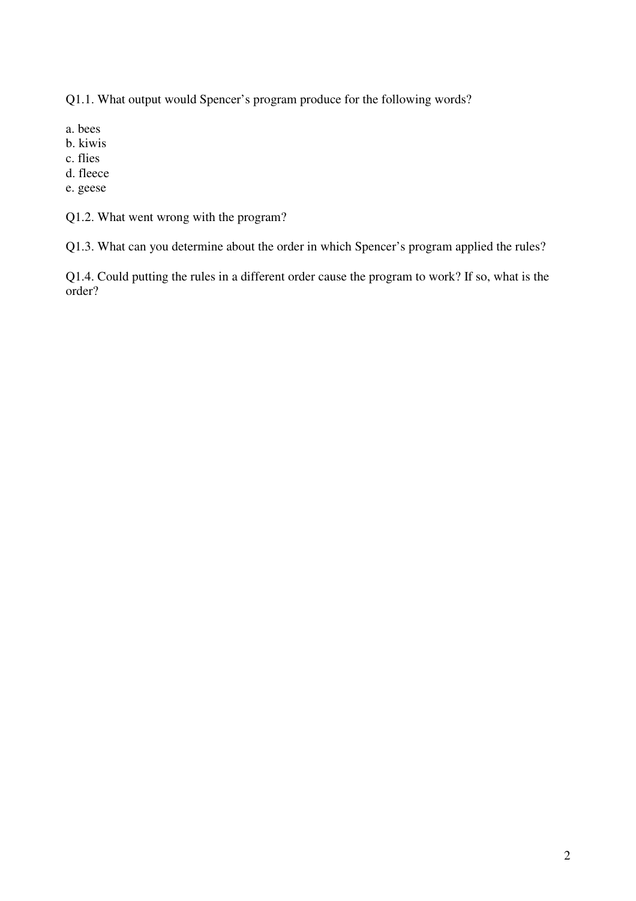Q1.1. What output would Spencer's program produce for the following words?

- a. bees
- b. kiwis
- c. flies
- d. fleece
- e. geese

Q1.2. What went wrong with the program?

Q1.3. What can you determine about the order in which Spencer's program applied the rules?

Q1.4. Could putting the rules in a different order cause the program to work? If so, what is the order?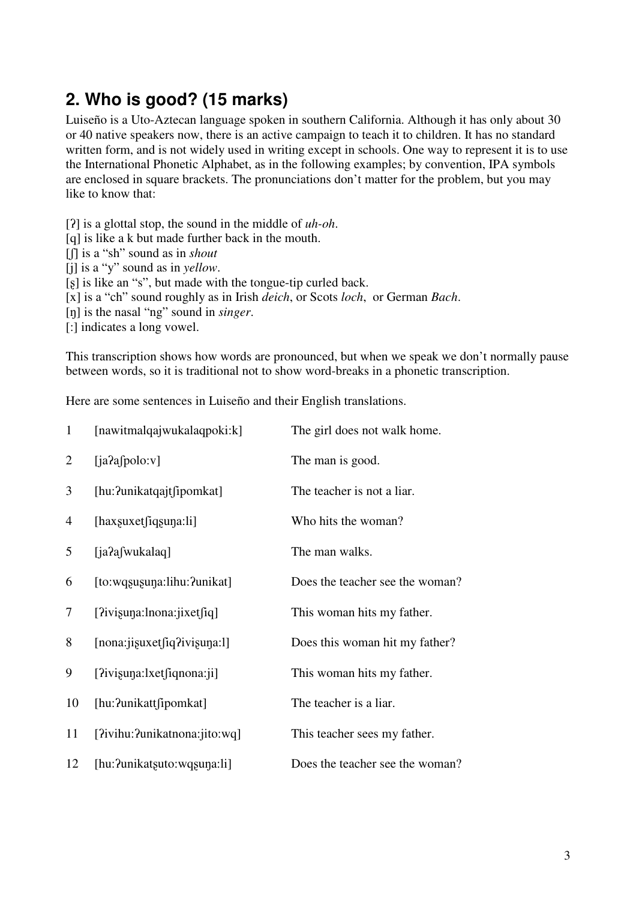## **2. Who is good? (15 marks)**

Luiseño is a Uto-Aztecan language spoken in southern California. Although it has only about 30 or 40 native speakers now, there is an active campaign to teach it to children. It has no standard written form, and is not widely used in writing except in schools. One way to represent it is to use the International Phonetic Alphabet, as in the following examples; by convention, IPA symbols are enclosed in square brackets. The pronunciations don't matter for the problem, but you may like to know that:

[ʔ] is a glottal stop, the sound in the middle of *uh-oh*.

- [q] is like a k but made further back in the mouth.
- [ʃ] is a "sh" sound as in *shout*
- [j] is a "y" sound as in *yellow*.
- [ $\beta$ ] is like an "s", but made with the tongue-tip curled back.
- [x] is a "ch" sound roughly as in Irish *deich*, or Scots *loch*, or German *Bach*.
- [ŋ] is the nasal "ng" sound in *singer*.

[:] indicates a long vowel.

This transcription shows how words are pronounced, but when we speak we don't normally pause between words, so it is traditional not to show word-breaks in a phonetic transcription.

Here are some sentences in Luiseño and their English translations.

| $\mathbf{1}$   | [nawitmalqajwukalaqpoki:k]                        | The girl does not walk home.    |
|----------------|---------------------------------------------------|---------------------------------|
| $\overline{2}$ | [ia?afpolo:v]                                     | The man is good.                |
| 3              | [hu: ?unikatqajtfipomkat]                         | The teacher is not a liar.      |
| 4              | $[{\rm hax}$ suxet ${\rm fi}$ qsuna: ${\rm li}$ ] | Who hits the woman?             |
| 5              | [ja?afwukalaq]                                    | The man walks.                  |
| 6              | [to:wqsusuna:lihu: ?unikat]                       | Does the teacher see the woman? |
| 7              | [2ivisuna:lnona:jixet[iq]                         | This woman hits my father.      |
| 8              | [nona:jisuxet[iq?ivisuna:1]                       | Does this woman hit my father?  |
| 9              | $[?iv$ isuna: $lxet$ $[i]$ qnona: $ji]$           | This woman hits my father.      |
| 10             | [hu:?unikattfipomkat]                             | The teacher is a liar.          |
| 11             | [?ivihu:?unikatnona:jito:wq]                      | This teacher sees my father.    |
| 12             | [hu: ?unikatsuto: wqsuna: li]                     | Does the teacher see the woman? |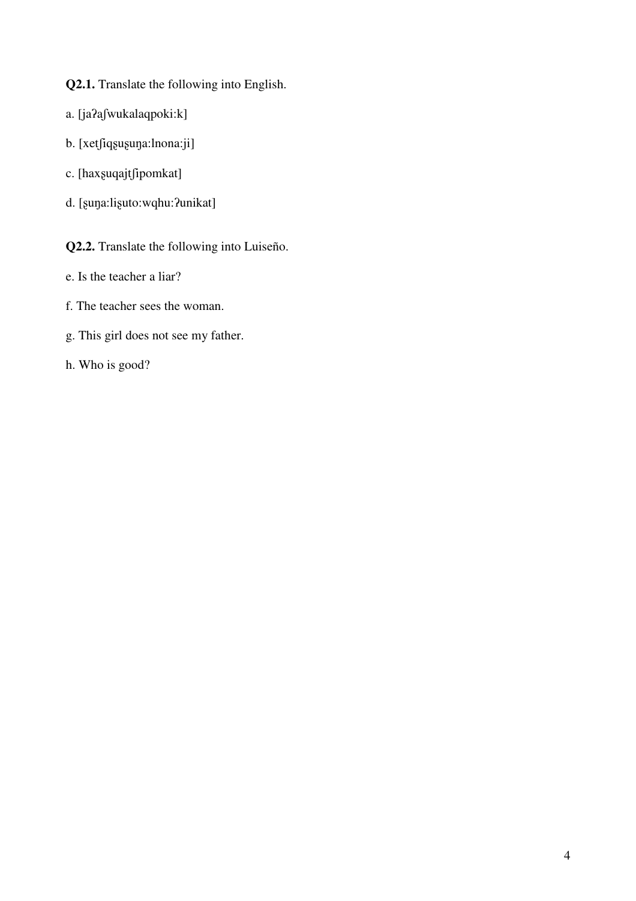- **Q2.1.** Translate the following into English.
- a. [jaʔaʃwukalaqpoki:k]
- b. [xetʃiqʂuʂuŋa:lnona:ji]
- c. [haxʂuqajtʃipomkat]
- d. [ʂuŋa:liʂuto:wqhu:ʔunikat]

**Q2.2.** Translate the following into Luiseño.

- e. Is the teacher a liar?
- f. The teacher sees the woman.
- g. This girl does not see my father.
- h. Who is good?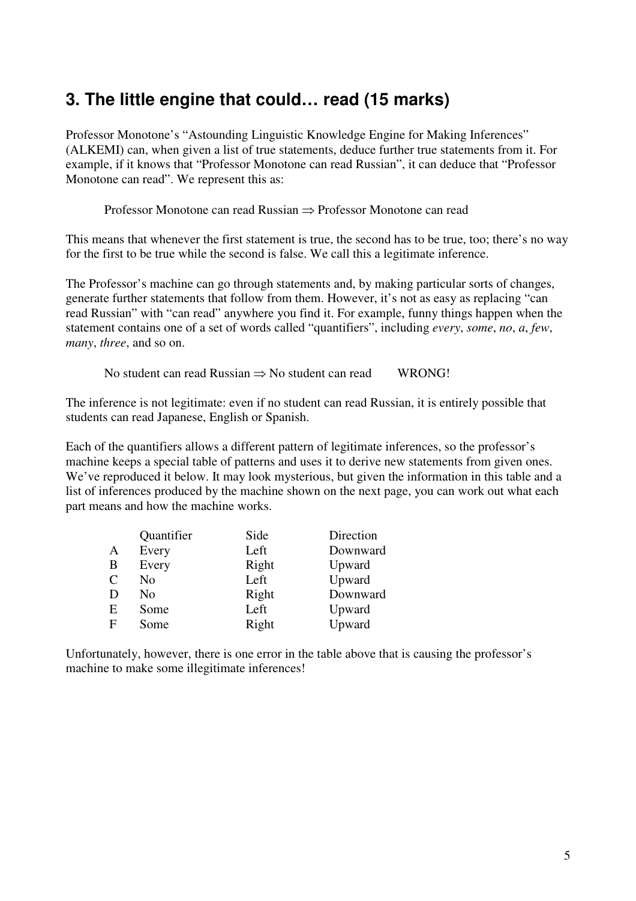## **3. The little engine that could… read (15 marks)**

Professor Monotone's "Astounding Linguistic Knowledge Engine for Making Inferences" (ALKEMI) can, when given a list of true statements, deduce further true statements from it. For example, if it knows that "Professor Monotone can read Russian", it can deduce that "Professor Monotone can read". We represent this as:

Professor Monotone can read Russian ⇒ Professor Monotone can read

This means that whenever the first statement is true, the second has to be true, too; there's no way for the first to be true while the second is false. We call this a legitimate inference.

The Professor's machine can go through statements and, by making particular sorts of changes, generate further statements that follow from them. However, it's not as easy as replacing "can read Russian" with "can read" anywhere you find it. For example, funny things happen when the statement contains one of a set of words called "quantifiers", including *every*, *some*, *no*, *a*, *few*, *many*, *three*, and so on.

No student can read Russian → No student can read WRONG!

The inference is not legitimate: even if no student can read Russian, it is entirely possible that students can read Japanese, English or Spanish.

Each of the quantifiers allows a different pattern of legitimate inferences, so the professor's machine keeps a special table of patterns and uses it to derive new statements from given ones. We've reproduced it below. It may look mysterious, but given the information in this table and a list of inferences produced by the machine shown on the next page, you can work out what each part means and how the machine works.

|              | Quantifier     | Side  | Direction |
|--------------|----------------|-------|-----------|
| A            | Every          | Left  | Downward  |
| B            | Every          | Right | Upward    |
| $\mathsf{C}$ | No             | Left  | Upward    |
| D            | N <sub>0</sub> | Right | Downward  |
| E            | Some           | Left  | Upward    |
| F            | Some           | Right | Upward    |

Unfortunately, however, there is one error in the table above that is causing the professor's machine to make some illegitimate inferences!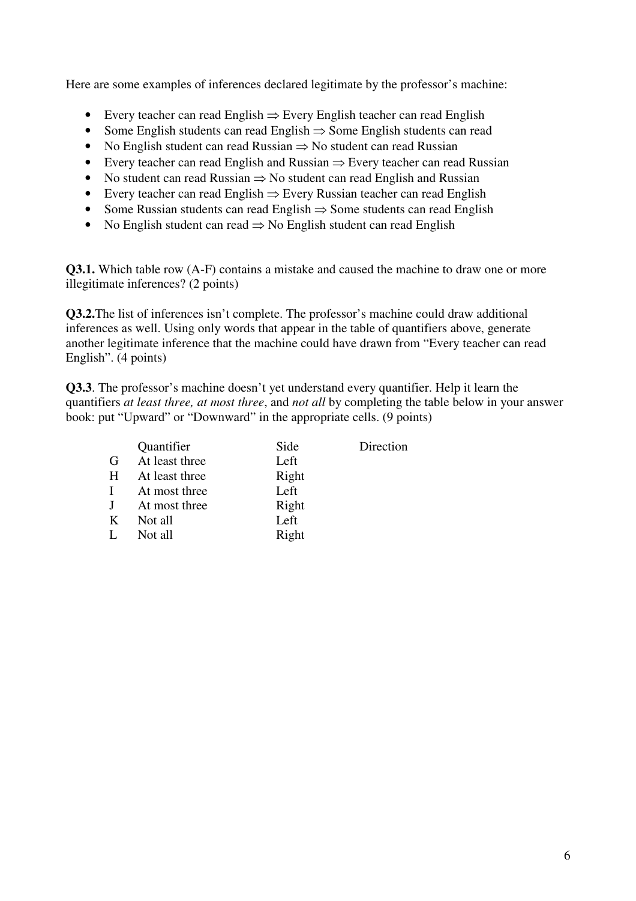Here are some examples of inferences declared legitimate by the professor's machine:

- Every teacher can read English ⇒ Every English teacher can read English
- Some English students can read English ⇒ Some English students can read
- No English student can read Russian ⇒ No student can read Russian
- Every teacher can read English and Russian ⇒ Every teacher can read Russian
- No student can read Russian  $\Rightarrow$  No student can read English and Russian
- Every teacher can read English ⇒ Every Russian teacher can read English
- Some Russian students can read English ⇒ Some students can read English
- No English student can read ⇒ No English student can read English

**Q3.1.** Which table row (A-F) contains a mistake and caused the machine to draw one or more illegitimate inferences? (2 points)

**Q3.2.**The list of inferences isn't complete. The professor's machine could draw additional inferences as well. Using only words that appear in the table of quantifiers above, generate another legitimate inference that the machine could have drawn from "Every teacher can read English". (4 points)

**Q3.3**. The professor's machine doesn't yet understand every quantifier. Help it learn the quantifiers *at least three, at most three*, and *not all* by completing the table below in your answer book: put "Upward" or "Downward" in the appropriate cells. (9 points)

|   | Quantifier     | Side  | Direction |
|---|----------------|-------|-----------|
| G | At least three | Left  |           |
| H | At least three | Right |           |
|   | At most three  | Left  |           |
| J | At most three  | Right |           |
| K | Not all        | Left  |           |
|   | Not all        | Right |           |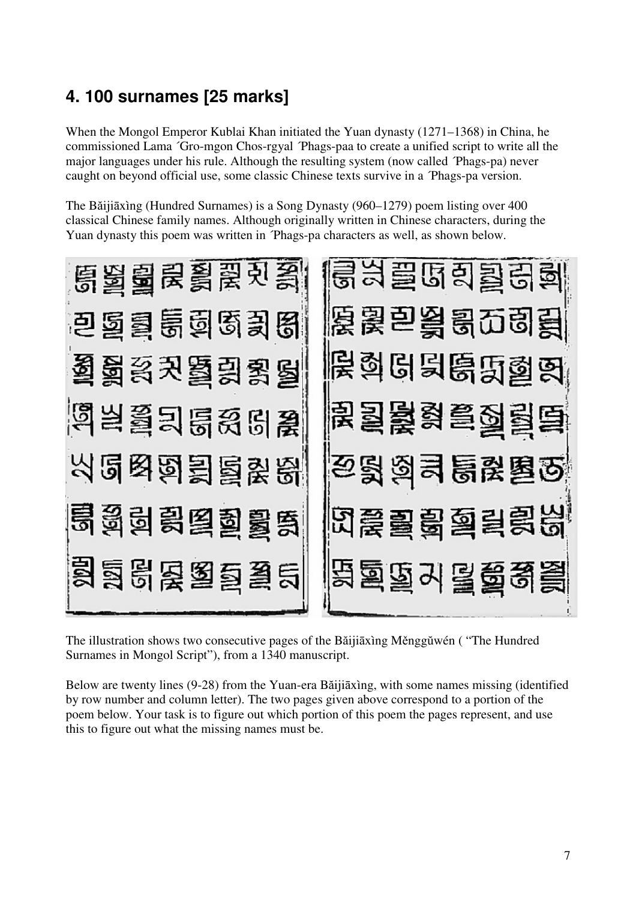# **4. 100 surnames [25 marks]**

When the Mongol Emperor Kublai Khan initiated the Yuan dynasty (1271–1368) in China, he commissioned Lama ´Gro-mgon Chos-rgyal ´Phags-paa to create a unified script to write all the major languages under his rule. Although the resulting system (now called ´Phags-pa) never caught on beyond official use, some classic Chinese texts survive in a ´Phags-pa version.

The Băijiāxìng (Hundred Surnames) is a Song Dynasty (960–1279) poem listing over 400 classical Chinese family names. Although originally written in Chinese characters, during the Yuan dynasty this poem was written in ´Phags-pa characters as well, as shown below.



The illustration shows two consecutive pages of the Băijiāxìng Měnggŭwén ( "The Hundred Surnames in Mongol Script"), from a 1340 manuscript.

Below are twenty lines (9-28) from the Yuan-era Băijiāxìng, with some names missing (identified by row number and column letter). The two pages given above correspond to a portion of the poem below. Your task is to figure out which portion of this poem the pages represent, and use this to figure out what the missing names must be.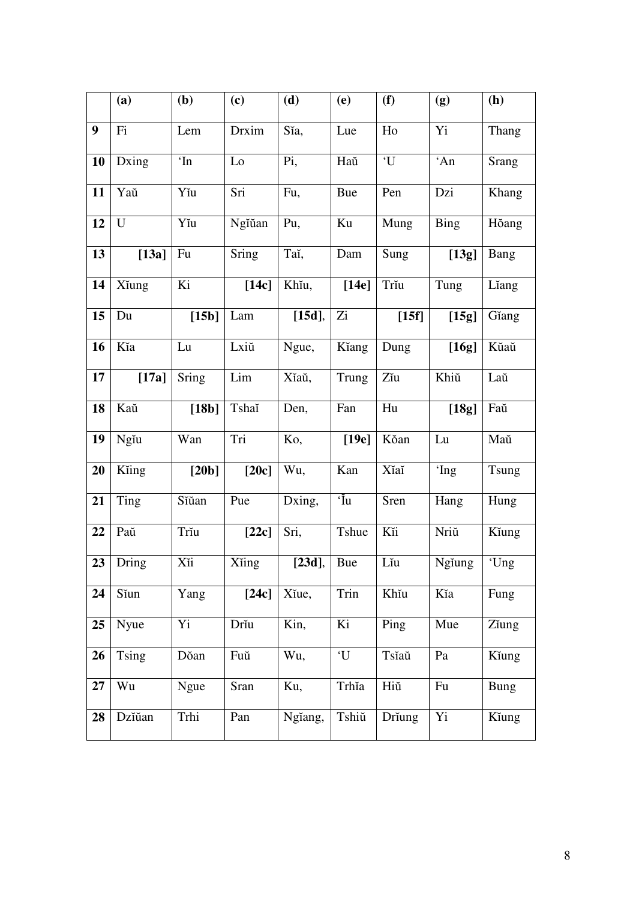|    | (a)          | (b)          | (c)     | (d)       | (e)                | (f)                 | (g)         | (h)         |
|----|--------------|--------------|---------|-----------|--------------------|---------------------|-------------|-------------|
| 9  | Fi           | Lem          | Drxim   | Sĭa,      | Lue                | Ho                  | Yi          | Thang       |
| 10 | Dxing        | $\mathbf{m}$ | Lo      | Pi,       | Haŭ                | $^{\circ} \text{U}$ | 'An         | Srang       |
| 11 | Yaŭ          | Yĭu          | Sri     | Fu,       | <b>Bue</b>         | Pen                 | Dzi         | Khang       |
| 12 | U            | Yĭu          | Ngĭŭan  | Pu,       | Ku                 | Mung                | <b>Bing</b> | Hŏang       |
| 13 | $[13a]$      | Fu           | Sring   | Taĭ,      | Dam                | Sung                | [13g]       | Bang        |
| 14 | Xĭung        | Ki           | $[14c]$ | Khiu,     | [14e]              | Trĭu                | Tung        | Liang       |
| 15 | Du           | [15b]        | Lam     | $[15d]$ , | Zi                 | [15f]               | [15g]       | Gĭang       |
| 16 | Kĭa          | Lu           | Lxiŭ    | Ngue,     | Kĭang              | Dung                | [16g]       | Kŭaŭ        |
| 17 | $[17a]$      | Sring        | Lim     | Xĭaŭ,     | Trung              | Zĭu                 | Khiŭ        | Laŭ         |
| 18 | Kaŭ          | $[18b]$      | Tshaĭ   | Den,      | Fan                | Hu                  | $[18g]$     | Faŭ         |
| 19 | Ngĭu         | Wan          | Tri     | Ko,       | [19e]              | Kŏan                | Lu          | Maŭ         |
| 20 | Kiing        | [20b]        | [20c]   | Wu,       | Kan                | Xĭaĭ                | 'Ing        | Tsung       |
| 21 | Ting         | Sĭŭan        | Pue     | Dxing,    | 'Iu                | Sren                | Hang        | Hung        |
| 22 | Paŭ          | Trĭu         | $[22c]$ | Sri,      | Tshue              | Kĭi                 | Nriŭ        | Kĭung       |
| 23 | Dring        | Xii          | Xiing   | $[23d]$ , | <b>Bue</b>         | Lĭu                 | Ngiung      | 'Ung        |
| 24 | Sĭun         | Yang         | [24c]   | Xĭue,     | $\overline{T}$ rin | Khĭu                | Kĭa         | Fung        |
| 25 | Nyue         | Yi           | Drĭu    | Kin,      | Ki                 | Ping                | Mue         | Ziung       |
| 26 | <b>Tsing</b> | Dŏan         | Fuŭ     | Wu,       | 'U                 | Tsĭaŭ               | Pa          | Kĭung       |
| 27 | Wu           | Ngue         | Sran    | Ku,       | Trhĭa              | Hiŭ                 | Fu          | <b>Bung</b> |
| 28 | Dzĭŭan       | Trhi         | Pan     | Ngiang,   | Tshiŭ              | Driung              | Yi          | Kiung       |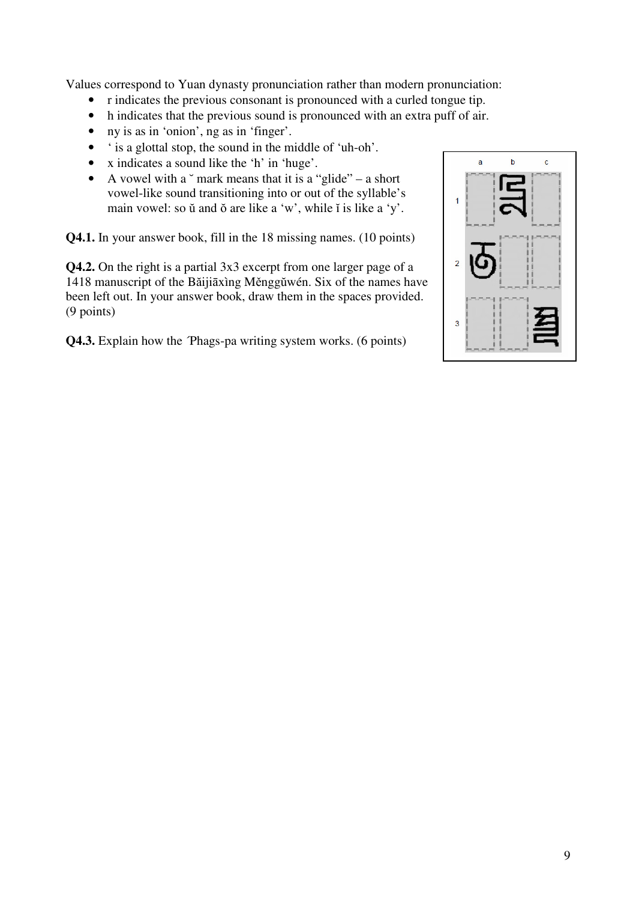Values correspond to Yuan dynasty pronunciation rather than modern pronunciation:

- r indicates the previous consonant is pronounced with a curled tongue tip.
- h indicates that the previous sound is pronounced with an extra puff of air.
- ny is as in 'onion', ng as in 'finger'.
- ' is a glottal stop, the sound in the middle of 'uh-oh'.
- x indicates a sound like the 'h' in 'huge'.
- A vowel with a  $\degree$  mark means that it is a "glide" a short vowel-like sound transitioning into or out of the syllable's main vowel: so ŭ and ŏ are like a 'w', while ĭ is like a 'y'.

**Q4.1.** In your answer book, fill in the 18 missing names. (10 points)

**Q4.2.** On the right is a partial 3x3 excerpt from one larger page of a 1418 manuscript of the Băijiāxìng Měnggŭwén. Six of the names have been left out. In your answer book, draw them in the spaces provided. (9 points)

**Q4.3.** Explain how the <sup>T</sup>Phags-pa writing system works. (6 points)